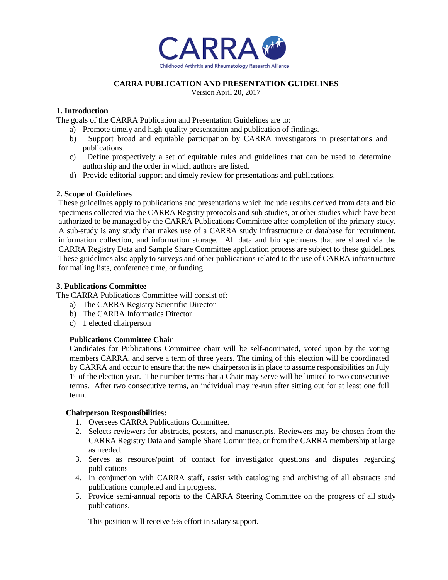

# **CARRA PUBLICATION AND PRESENTATION GUIDELINES**

Version April 20, 2017

# **1. Introduction**

The goals of the CARRA Publication and Presentation Guidelines are to:

- a) Promote timely and high-quality presentation and publication of findings.
- b) Support broad and equitable participation by CARRA investigators in presentations and publications.
- c) Define prospectively a set of equitable rules and guidelines that can be used to determine authorship and the order in which authors are listed.
- d) Provide editorial support and timely review for presentations and publications.

### **2. Scope of Guidelines**

These guidelines apply to publications and presentations which include results derived from data and bio specimens collected via the CARRA Registry protocols and sub-studies, or other studies which have been authorized to be managed by the CARRA Publications Committee after completion of the primary study. A sub-study is any study that makes use of a CARRA study infrastructure or database for recruitment, information collection, and information storage. All data and bio specimens that are shared via the CARRA Registry Data and Sample Share Committee application process are subject to these guidelines. These guidelines also apply to surveys and other publications related to the use of CARRA infrastructure for mailing lists, conference time, or funding.

### **3. Publications Committee**

The CARRA Publications Committee will consist of:

- a) The CARRA Registry Scientific Director
- b) The CARRA Informatics Director
- c) 1 elected chairperson

### **Publications Committee Chair**

Candidates for Publications Committee chair will be self-nominated, voted upon by the voting members CARRA, and serve a term of three years. The timing of this election will be coordinated by CARRA and occur to ensure that the new chairperson is in place to assume responsibilities on July 1<sup>st</sup> of the election year. The number terms that a Chair may serve will be limited to two consecutive terms. After two consecutive terms, an individual may re-run after sitting out for at least one full term.

### **Chairperson Responsibilities:**

- 1. Oversees CARRA Publications Committee.
- 2. Selects reviewers for abstracts, posters, and manuscripts. Reviewers may be chosen from the CARRA Registry Data and Sample Share Committee, or from the CARRA membership at large as needed.
- 3. Serves as resource/point of contact for investigator questions and disputes regarding publications
- 4. In conjunction with CARRA staff, assist with cataloging and archiving of all abstracts and publications completed and in progress.
- 5. Provide semi-annual reports to the CARRA Steering Committee on the progress of all study publications.

This position will receive 5% effort in salary support.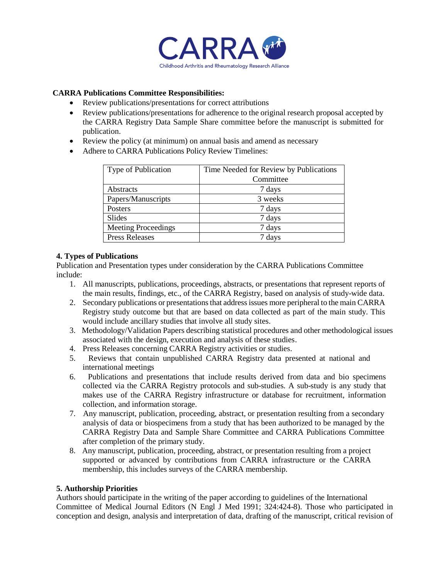

# **CARRA Publications Committee Responsibilities:**

- Review publications/presentations for correct attributions
- Review publications/presentations for adherence to the original research proposal accepted by the CARRA Registry Data Sample Share committee before the manuscript is submitted for publication.
- Review the policy (at minimum) on annual basis and amend as necessary
- Adhere to CARRA Publications Policy Review Timelines:

| Type of Publication        | Time Needed for Review by Publications |
|----------------------------|----------------------------------------|
|                            | Committee                              |
| Abstracts                  | 7 days                                 |
| Papers/Manuscripts         | 3 weeks                                |
| Posters                    | 7 days                                 |
| Slides                     | 7 days                                 |
| <b>Meeting Proceedings</b> | 7 days                                 |
| <b>Press Releases</b>      | 7 days                                 |

### **4. Types of Publications**

Publication and Presentation types under consideration by the CARRA Publications Committee include:

- 1. All manuscripts, publications, proceedings, abstracts, or presentations that represent reports of the main results, findings, etc., of the CARRA Registry, based on analysis of study-wide data.
- 2. Secondary publications or presentations that address issues more peripheral to the main CARRA Registry study outcome but that are based on data collected as part of the main study. This would include ancillary studies that involve all study sites.
- 3. Methodology/Validation Papers describing statistical procedures and other methodological issues associated with the design, execution and analysis of these studies.
- 4. Press Releases concerning CARRA Registry activities or studies.
- 5. Reviews that contain unpublished CARRA Registry data presented at national and international meetings
- 6. Publications and presentations that include results derived from data and bio specimens collected via the CARRA Registry protocols and sub-studies. A sub-study is any study that makes use of the CARRA Registry infrastructure or database for recruitment, information collection, and information storage.
- 7. Any manuscript, publication, proceeding, abstract, or presentation resulting from a secondary analysis of data or biospecimens from a study that has been authorized to be managed by the CARRA Registry Data and Sample Share Committee and CARRA Publications Committee after completion of the primary study.
- 8. Any manuscript, publication, proceeding, abstract, or presentation resulting from a project supported or advanced by contributions from CARRA infrastructure or the CARRA membership, this includes surveys of the CARRA membership.

### **5. Authorship Priorities**

Authors should participate in the writing of the paper according to guidelines of the International Committee of Medical Journal Editors (N Engl J Med 1991; 324:424-8). Those who participated in conception and design, analysis and interpretation of data, drafting of the manuscript, critical revision of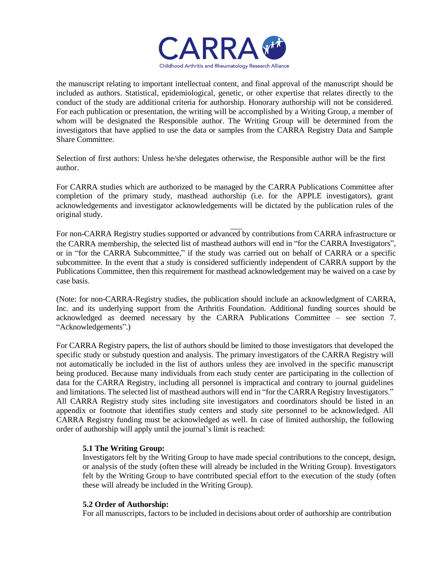

the manuscript relating to important intellectual content, and final approval of the manuscript should be included as authors. Statistical, epidemiological, genetic, or other expertise that relates directly to the conduct of the study are additional criteria for authorship. Honorary authorship will not be considered. For each publication or presentation, the writing will be accomplished by a Writing Group, a member of whom will be designated the Responsible author. The Writing Group will be determined from the investigators that have applied to use the data or samples from the CARRA Registry Data and Sample Share Committee.

Selection of first authors: Unless he/she delegates otherwise, the Responsible author will be the first author.

For CARRA studies which are authorized to be managed by the CARRA Publications Committee after completion of the primary study, masthead authorship (i.e. for the APPLE investigators), grant acknowledgements and investigator acknowledgements will be dictated by the publication rules of the original study.

For non-CARRA Registry studies supported or advanced by contributions from CARRA infrastructure or the CARRA membership, the selected list of masthead authors will end in "for the CARRA Investigators", or in "for the CARRA Subcommittee," if the study was carried out on behalf of CARRA or a specific subcommittee. In the event that a study is considered sufficiently independent of CARRA support by the Publications Committee, then this requirement for masthead acknowledgement may be waived on a case by case basis.

(Note: for non-CARRA-Registry studies, the publication should include an acknowledgment of CARRA, Inc. and its underlying support from the Arthritis Foundation. Additional funding sources should be acknowledged as deemed necessary by the CARRA Publications Committee – see section 7. "Acknowledgements".)

For CARRA Registry papers, the list of authors should be limited to those investigators that developed the specific study or substudy question and analysis. The primary investigators of the CARRA Registry will not automatically be included in the list of authors unless they are involved in the specific manuscript being produced. Because many individuals from each study center are participating in the collection of data for the CARRA Registry, including all personnel is impractical and contrary to journal guidelines and limitations. The selected list of masthead authors will end in "for the CARRA Registry Investigators." All CARRA Registry study sites including site investigators and coordinators should be listed in an appendix or footnote that identifies study centers and study site personnel to be acknowledged. All CARRA Registry funding must be acknowledged as well. In case of limited authorship, the following order of authorship will apply until the journal's limit is reached:

### **5.1 The Writing Group:**

Investigators felt by the Writing Group to have made special contributions to the concept, design, or analysis of the study (often these will already be included in the Writing Group). Investigators felt by the Writing Group to have contributed special effort to the execution of the study (often these will already be included in the Writing Group).

### **5.2 Order of Authorship:**

For all manuscripts, factors to be included in decisions about order of authorship are contribution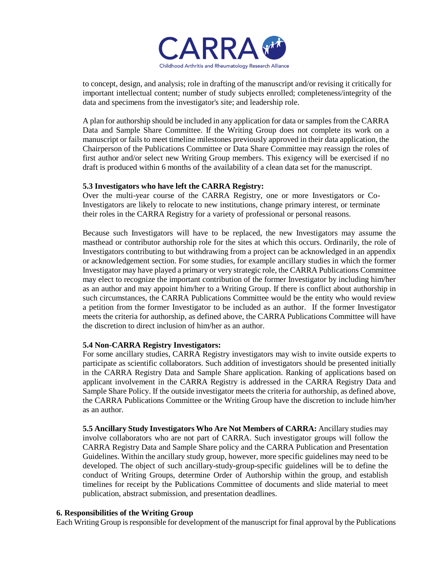

to concept, design, and analysis; role in drafting of the manuscript and/or revising it critically for important intellectual content; number of study subjects enrolled; completeness/integrity of the data and specimens from the investigator's site; and leadership role.

A plan for authorship should be included in any application for data or samples from the CARRA Data and Sample Share Committee. If the Writing Group does not complete its work on a manuscript or fails to meet timeline milestones previously approved in their data application, the Chairperson of the Publications Committee or Data Share Committee may reassign the roles of first author and/or select new Writing Group members. This exigency will be exercised if no draft is produced within 6 months of the availability of a clean data set for the manuscript.

#### **5.3 Investigators who have left the CARRA Registry:**

Over the multi-year course of the CARRA Registry, one or more Investigators or Co-Investigators are likely to relocate to new institutions, change primary interest, or terminate their roles in the CARRA Registry for a variety of professional or personal reasons.

Because such Investigators will have to be replaced, the new Investigators may assume the masthead or contributor authorship role for the sites at which this occurs. Ordinarily, the role of Investigators contributing to but withdrawing from a project can be acknowledged in an appendix or acknowledgement section. For some studies, for example ancillary studies in which the former Investigator may have played a primary or very strategic role, the CARRA Publications Committee may elect to recognize the important contribution of the former Investigator by including him/her as an author and may appoint him/her to a Writing Group. If there is conflict about authorship in such circumstances, the CARRA Publications Committee would be the entity who would review a petition from the former Investigator to be included as an author. If the former Investigator meets the criteria for authorship, as defined above, the CARRA Publications Committee will have the discretion to direct inclusion of him/her as an author.

### **5.4 Non-CARRA Registry Investigators:**

For some ancillary studies, CARRA Registry investigators may wish to invite outside experts to participate as scientific collaborators. Such addition of investigators should be presented initially in the CARRA Registry Data and Sample Share application. Ranking of applications based on applicant involvement in the CARRA Registry is addressed in the CARRA Registry Data and Sample Share Policy. If the outside investigator meets the criteria for authorship, as defined above, the CARRA Publications Committee or the Writing Group have the discretion to include him/her as an author.

**5.5 Ancillary Study Investigators Who Are Not Members of CARRA:** Ancillary studies may involve collaborators who are not part of CARRA. Such investigator groups will follow the CARRA Registry Data and Sample Share policy and the CARRA Publication and Presentation Guidelines. Within the ancillary study group, however, more specific guidelines may need to be developed. The object of such ancillary-study-group-specific guidelines will be to define the conduct of Writing Groups, determine Order of Authorship within the group, and establish timelines for receipt by the Publications Committee of documents and slide material to meet publication, abstract submission, and presentation deadlines.

### **6. Responsibilities of the Writing Group**

Each Writing Group is responsible for development of the manuscript for final approval by the Publications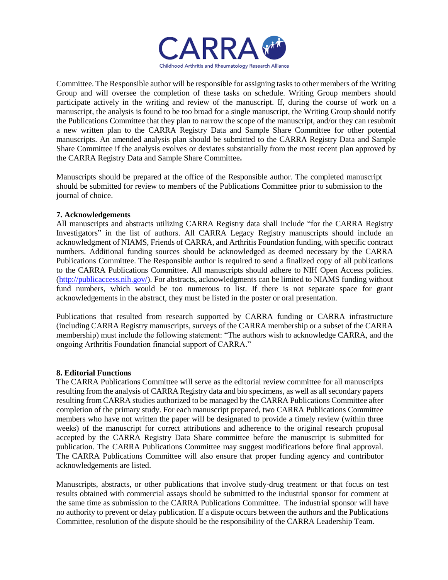

Committee. The Responsible author will be responsible for assigning tasks to other members of the Writing Group and will oversee the completion of these tasks on schedule. Writing Group members should participate actively in the writing and review of the manuscript. If, during the course of work on a manuscript, the analysis is found to be too broad for a single manuscript, the Writing Group should notify the Publications Committee that they plan to narrow the scope of the manuscript, and/or they can resubmit a new written plan to the CARRA Registry Data and Sample Share Committee for other potential manuscripts. An amended analysis plan should be submitted to the CARRA Registry Data and Sample Share Committee if the analysis evolves or deviates substantially from the most recent plan approved by the CARRA Registry Data and Sample Share Committee**.**

Manuscripts should be prepared at the office of the Responsible author. The completed manuscript should be submitted for review to members of the Publications Committee prior to submission to the journal of choice.

### **7. Acknowledgements**

All manuscripts and abstracts utilizing CARRA Registry data shall include "for the CARRA Registry Investigators" in the list of authors. All CARRA Legacy Registry manuscripts should include an acknowledgment of NIAMS, Friends of CARRA, and Arthritis Foundation funding, with specific contract numbers. Additional funding sources should be acknowledged as deemed necessary by the CARRA Publications Committee. The Responsible author is required to send a finalized copy of all publications to the CARRA Publications Committee. All manuscripts should adhere to NIH Open Access policies. [\(http://publicaccess.nih.gov/\)](http://publicaccess.nih.gov/). For abstracts, acknowledgments can be limited to NIAMS funding without fund numbers, which would be too numerous to list. If there is not separate space for grant acknowledgements in the abstract, they must be listed in the poster or oral presentation.

Publications that resulted from research supported by CARRA funding or CARRA infrastructure (including CARRA Registry manuscripts, surveys of the CARRA membership or a subset of the CARRA membership) must include the following statement: "The authors wish to acknowledge CARRA, and the ongoing Arthritis Foundation financial support of CARRA."

### **8. Editorial Functions**

The CARRA Publications Committee will serve as the editorial review committee for all manuscripts resulting from the analysis of CARRA Registry data and bio specimens, as well as all secondary papers resulting from CARRA studies authorized to be managed by the CARRA Publications Committee after completion of the primary study. For each manuscript prepared, two CARRA Publications Committee members who have not written the paper will be designated to provide a timely review (within three weeks) of the manuscript for correct attributions and adherence to the original research proposal accepted by the CARRA Registry Data Share committee before the manuscript is submitted for publication. The CARRA Publications Committee may suggest modifications before final approval. The CARRA Publications Committee will also ensure that proper funding agency and contributor acknowledgements are listed.

Manuscripts, abstracts, or other publications that involve study-drug treatment or that focus on test results obtained with commercial assays should be submitted to the industrial sponsor for comment at the same time as submission to the CARRA Publications Committee. The industrial sponsor will have no authority to prevent or delay publication. If a dispute occurs between the authors and the Publications Committee, resolution of the dispute should be the responsibility of the CARRA Leadership Team.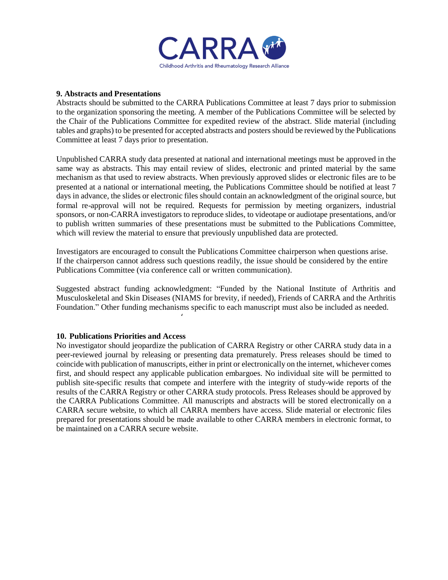

#### **9. Abstracts and Presentations**

Abstracts should be submitted to the CARRA Publications Committee at least 7 days prior to submission to the organization sponsoring the meeting. A member of the Publications Committee will be selected by the Chair of the Publications Committee for expedited review of the abstract. Slide material (including tables and graphs) to be presented for accepted abstracts and posters should be reviewed by the Publications Committee at least 7 days prior to presentation.

Unpublished CARRA study data presented at national and international meetings must be approved in the same way as abstracts. This may entail review of slides, electronic and printed material by the same mechanism as that used to review abstracts. When previously approved slides or electronic files are to be presented at a national or international meeting, the Publications Committee should be notified at least 7 days in advance, the slides or electronic files should contain an acknowledgment of the original source, but formal re-approval will not be required. Requests for permission by meeting organizers, industrial sponsors, or non-CARRA investigators to reproduce slides, to videotape or audiotape presentations, and/or to publish written summaries of these presentations must be submitted to the Publications Committee, which will review the material to ensure that previously unpublished data are protected.

Investigators are encouraged to consult the Publications Committee chairperson when questions arise. If the chairperson cannot address such questions readily, the issue should be considered by the entire Publications Committee (via conference call or written communication).

Suggested abstract funding acknowledgment: "Funded by the National Institute of Arthritis and Musculoskeletal and Skin Diseases (NIAMS for brevity, if needed), Friends of CARRA and the Arthritis Foundation." Other funding mechanisms specific to each manuscript must also be included as needed.

'

### **10. Publications Priorities and Access**

No investigator should jeopardize the publication of CARRA Registry or other CARRA study data in a peer-reviewed journal by releasing or presenting data prematurely. Press releases should be timed to coincide with publication of manuscripts, either in print or electronically on the internet, whichever comes first, and should respect any applicable publication embargoes. No individual site will be permitted to publish site-specific results that compete and interfere with the integrity of study-wide reports of the results of the CARRA Registry or other CARRA study protocols. Press Releases should be approved by the CARRA Publications Committee. All manuscripts and abstracts will be stored electronically on a CARRA secure website, to which all CARRA members have access. Slide material or electronic files prepared for presentations should be made available to other CARRA members in electronic format, to be maintained on a CARRA secure website.